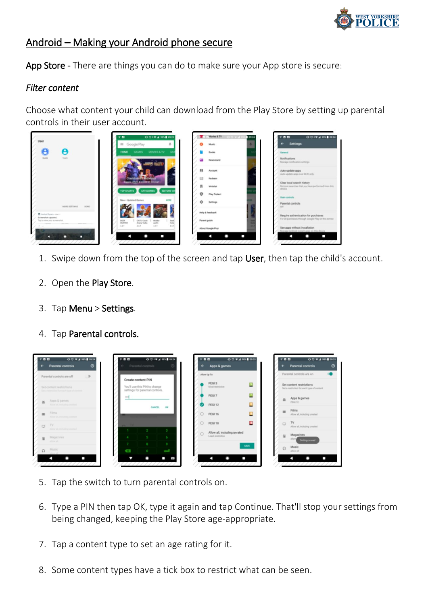

## Android – Making your Android phone secure

App Store - There are things you can do to make sure your App store is secure:

## *Filter content*

Choose what content your child can download from the Play Store by setting up parental controls in their user account.



- 1. Swipe down from the top of the screen and tap User, then tap the child's account.
- 2. Open the Play Store.
- 3. Tap Menu > Settings.
- 4. Tap Parental controls.



- 5. Tap the switch to turn parental controls on.
- 6. Type a PIN then tap OK, type it again and tap Continue. That'll stop your settings from being changed, keeping the Play Store age-appropriate.
- 7. Tap a content type to set an age rating for it.
- 8. Some content types have a tick box to restrict what can be seen.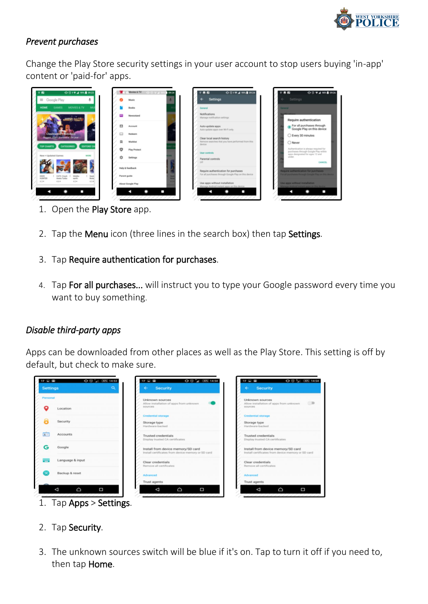

ire authentication For all purchases through<br>Google Play on this device Every 30 minutes

## *Prevent purchases*

Change the Play Store security settings in your user account to stop users buying 'in-app' content or 'paid-for' apps.



- 1. Open the Play Store app.
- 2. Tap the Menu icon (three lines in the search box) then tap Settings.
- 3. Tap Require authentication for purchases.
- 4. Tap For all purchases... will instruct you to type your Google password every time you want to buy something.

## *Disable third-party apps*

Apps can be downloaded from other places as well as the Play Store. This setting is off by default, but check to make sure.



- 
- 2. Tap Security.
- 3. The unknown sources switch will be blue if it's on. Tap to turn it off if you need to, then tap Home.